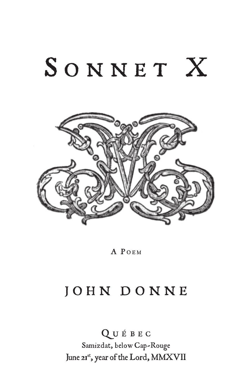## SONNET X



A POEM

## JOHN DONNE

Q U É B E C Samizdat, below Cap-Rouge June 21st, year of the Lord, MMXVII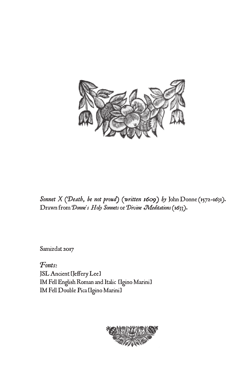

*Sonnet X (Death, be not proud) (written 1609) by* John Donne (1572–1631). Drawn from *Donne's Holy Sonnets* or *Divine Meditations* (1633).

[Samizdat](http://www.samizdat.qc.ca/Ebooks/) 2017

*Fonts*: JSL Ancient [Jeffery Lee] IM Fell English Roman and Italic [Igino Marini] IM Fell Double Pica [Igino Marini]